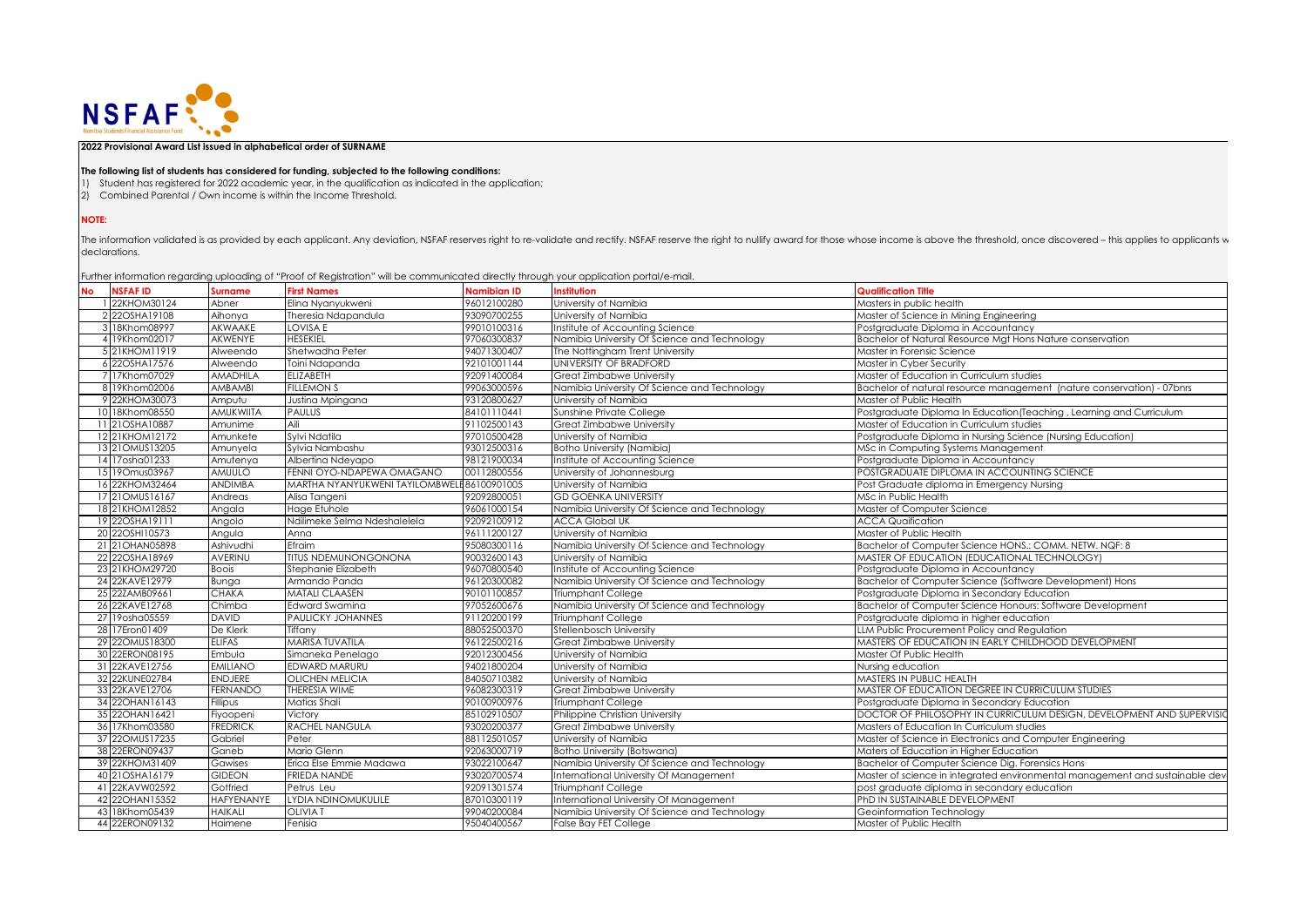

**2022 Provisional Award List issued in alphabetical order of SURNAME**

## **The following list of students has considered for funding, subjected to the following conditions:**

- 1) Student has registered for 2022 academic year, in the qualification as indicated in the application;
- 2) Combined Parental / Own income is within the Income Threshold.

## **NOTE:**

The information validated is as provided by each applicant. Any deviation, NSFAF reserves right to re-validate and rectify. NSFAF reserve the right to nullify award for those whose income is above the threshold, once disco declarations.

Further information regarding uploading of "Proof of Registration" will be communicated directly through your application portal/e-mail.

| <b>No</b> | <b>NSFAFID</b>   | <b>Surname</b>    | <b>First Names</b>                          | <b>Namibian ID</b> | <b>Institution</b>                           | <b>Qualification Title</b>                                                   |
|-----------|------------------|-------------------|---------------------------------------------|--------------------|----------------------------------------------|------------------------------------------------------------------------------|
|           | 1 22KHOM30124    | Abner             | Elina Nyanyukweni                           | 96012100280        | University of Namibia                        | Masters in public health                                                     |
|           | 2 22OSHA19108    | Aihonya           | Theresia Ndapandula                         | 93090700255        | University of Namibia                        | Master of Science in Mining Engineering                                      |
|           | 3 18Khom08997    | AKWAAKE           | <b>LOVISA E</b>                             | 99010100316        | Institute of Accounting Science              | Postgraduate Diploma in Accountancy                                          |
|           | 4 19Khom02017    | <b>AKWENYE</b>    | <b>HESEKIEL</b>                             | 97060300837        | Namibia University Of Science and Technology | Bachelor of Natural Resource Mat Hons Nature conservation                    |
|           | 5 21KHOM11919    | Alweendo          | Shetwadha Peter                             | 94071300407        | The Nottinaham Trent University              | Master in Forensic Science                                                   |
|           | 6 22OSHA17576    | Alweendo          | Toini Ndapanda                              | 92101001144        | <b>UNIVERSITY OF BRADFORD</b>                | Master in Cyber Security                                                     |
|           | 7 17Khom07029    | AMADHILA          | <b>ELIZABETH</b>                            | 92091400084        | <b>Great Zimbabwe University</b>             | Master of Education in Curriculum studies                                    |
|           | 8 19Khom02006    | AMBAMBI           | <b>FILLEMON S</b>                           | 99063000596        | Namibia University Of Science and Technology | Bachelor of natural resource management (nature conservation) - 07bnrs       |
|           | 9 22KHOM30073    | Amputu            | Justina Mpingana                            | 93120800627        | University of Namibia                        | Master of Public Health                                                      |
|           | 10 18Khom08550   | AMUKWIITA         | <b>PAULUS</b>                               | 84101110441        | Sunshine Private College                     | Postgraduate Diploma In Education (Teaching, Learning and Curriculum         |
|           | 11 21 OSHA10887  | Amunime           | Aili                                        | 91102500143        | Great Zimbabwe University                    | Master of Education in Curriculum studies                                    |
|           | 12 21KHOM12172   | Amunkete          | Sylvi Ndatila                               | 97010500428        | University of Namibia                        | Postgraduate Diploma in Nursing Science (Nursing Education)                  |
|           | 13 21 OMUS13205  | Amunyela          | Sylvia Nambashu                             | 93012500316        | <b>Botho University (Namibia)</b>            | MSc in Computing Systems Management                                          |
|           | 14 17osha01233   | Amutenya          | Albertina Ndeyapo                           | 98121900034        | Institute of Accounting Science              | Postgraduate Diploma in Accountancy                                          |
|           | 15 190mus03967   | AMUULO            | FENNI OYO-NDAPEWA OMAGANO                   | 00112800556        | University of Johannesburg                   | POSTGRADUATE DIPLOMA IN ACCOUNTING SCIENCE                                   |
|           | 16 22KHOM32464   | <b>ANDIMBA</b>    | MARTHA NYANYUKWENI TAYILOMBWELE 86100901005 |                    | University of Namibia                        | Post Graduate diploma in Emergency Nursing                                   |
|           | 17 21 OMUS16167  | Andreas           | Alisa Tangeni                               | 92092800051        | <b>GD GOENKA UNIVERSITY</b>                  | MSc in Public Health                                                         |
|           | 18 21KHOM12852   | Angala            | Hage Etuhole                                | 96061000154        | Namibia University Of Science and Technology | Master of Computer Science                                                   |
|           | 19 22OSHA19111   | Angolo            | Ndilimeke Selma Ndeshalelela                | 92092100912        | <b>ACCA Global UK</b>                        | <b>ACCA Qualfication</b>                                                     |
|           | 20 22OSHI10573   | Angula            | Anna                                        | 96111200127        | University of Namibia                        | Master of Public Health                                                      |
|           | 21 21 OHAN 05898 | Ashivudhi         | Efraim                                      | 95080300116        | Namibia University Of Science and Technology | Bachelor of Computer Science HONS.: COMM. NETW. NQF: 8                       |
|           | 22 22 OSHA18969  | <b>AVERINU</b>    | <b>TITUS NDEMUNONGONONA</b>                 | 90032600143        | University of Namibia                        | MASTER OF EDUCATION (EDUCATIONAL TECHNOLOGY)                                 |
|           | 23 21KHOM29720   | <b>Boois</b>      | Stephanie Elizabeth                         | 96070800540        | Institute of Accounting Science              | Postgraduate Diploma in Accountancy                                          |
|           | 24 22KAVE12979   | Bunga             | Armando Panda                               | 96120300082        | Namibia University Of Science and Technology | Bachelor of Computer Science (Software Development) Hons                     |
|           | 25 22ZAMB09661   | <b>CHAKA</b>      | MATALI CLAASEN                              | 90101100857        | <b>Triumphant College</b>                    | Postgraduate Diploma in Secondary Education                                  |
|           | 26 22KAVE12768   | Chimba            | Edward Swamina                              | 97052600676        | Namibia University Of Science and Technology | Bachelor of Computer Science Honours: Software Development                   |
|           | 27 19 osha05559  | <b>DAVID</b>      | <b>PAULICKY JOHANNES</b>                    | 91120200199        | Triumphant College                           | Postgraduate diploma in higher education                                     |
|           | 28 17Eron01409   | De Klerk          | Tiffany                                     | 88052500370        | Stellenbosch University                      | LLM Public Procurement Policy and Regulation                                 |
|           | 29 22 OMUS18300  | <b>ELIFAS</b>     | <b>MARISA TUVATILA</b>                      | 96122500216        | Great Zimbabwe University                    | MASTERS OF EDUCATION IN EARLY CHILDHOOD DEVELOPMENT                          |
|           | 30 22ERON08195   | Embula            | Simaneka Penelago                           | 92012300456        | University of Namibia                        | Master Of Public Health                                                      |
|           | 31 22KAVE12756   | <b>EMILIANO</b>   | EDWARD MARURU                               | 94021800204        | University of Namibia                        | Nursing education                                                            |
|           | 32 22KUNE02784   | <b>ENDJERE</b>    | <b>OLICHEN MELICIA</b>                      | 84050710382        | University of Namibia                        | MASTERS IN PUBLIC HEALTH                                                     |
|           | 33 22KAVE12706   | <b>FERNANDO</b>   | THERESIA WIME                               | 96082300319        | <b>Great Zimbabwe University</b>             | MASTER OF EDUCATION DEGREE IN CURRICULUM STUDIES                             |
|           | 34 22OHAN16143   | Fillipus          | Matias Shali                                | 90100900976        | Triumphant College                           | Postgraduate Diploma in Secondary Education                                  |
|           | 35 22OHAN16421   | Fiyoopeni         | Victory                                     | 85102910507        | Philippine Christian University              | DOCTOR OF PHILOSOPHY IN CURRICULUM DESIGN, DEVELOPMENT AND SUPERVISIO        |
|           | 36 17Khom03580   | <b>FREDRICK</b>   | <b>RACHEL NANGULA</b>                       | 93020200377        | Great Zimbabwe University                    | Masters of Education In Curriculum studies                                   |
|           | 37 220MUS17235   | Gabriel           | Peter                                       | 88112501057        | University of Namibia                        | Master of Science in Electronics and Computer Engineering                    |
|           | 38 22ERON09437   | Ganeb             | Mario Glenn                                 | 92063000719        | Botho University (Botswana)                  | Maters of Education in Higher Education                                      |
|           | 39 22KHOM31409   | Gawises           | Erica Else Emmie Madawa                     | 93022100647        | Namibia University Of Science and Technology | Bachelor of Computer Science Dig. Forensics Hons                             |
|           | 40 21 OSHA16179  | <b>GIDEON</b>     | FRIEDA NANDE                                | 93020700574        | International University Of Management       | Master of science in integrated environmental management and sustainable dev |
|           | 41 22KAVW02592   | Gotfried          | Petrus Leu                                  | 92091301574        | Triumphant College                           | post graduate diploma in secondary education                                 |
|           | 42 22OHAN15352   | <b>HAFYENANYE</b> | LYDIA NDINOMUKULILE                         | 87010300119        | International University Of Management       | PhD IN SUSTAINABLE DEVELOPMENT                                               |
|           | 43 18Khom05439   | <b>HAIKALI</b>    | OLIVIA T                                    | 99040200084        | Namibia University Of Science and Technology | Geoinformation Technology                                                    |
|           | 44 22ERON09132   | Haimene           | Fenisia                                     | 95040400567        | <b>False Bay FET College</b>                 | Master of Public Health                                                      |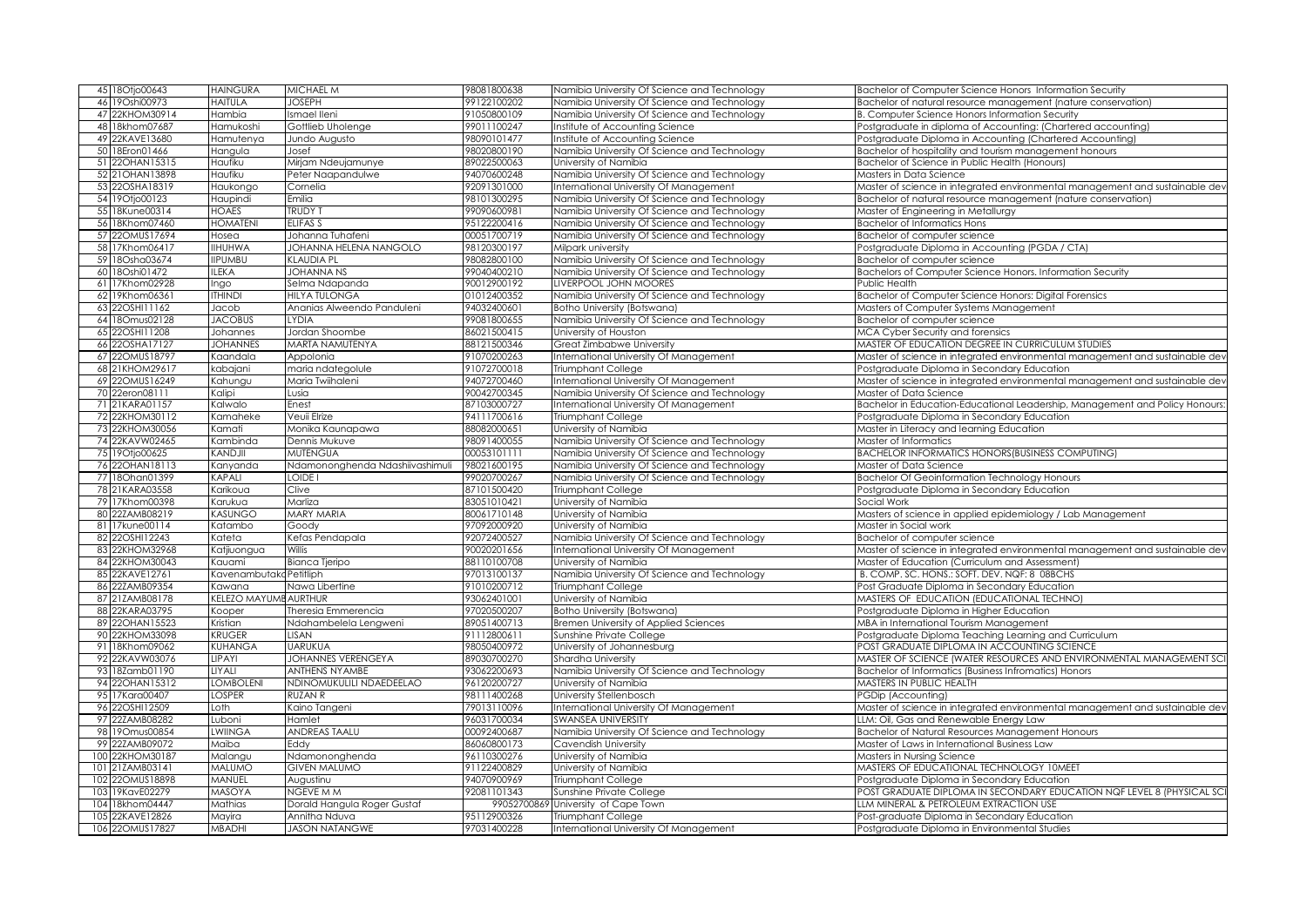| 45 18Otjo00643                   | <b>HAINGURA</b>     | MICHAEL M                             | 98081800638                | Namibia University Of Science and Technology | Bachelor of Computer Science Honors Information Security                     |
|----------------------------------|---------------------|---------------------------------------|----------------------------|----------------------------------------------|------------------------------------------------------------------------------|
| 46 19 Oshi00973                  | <b>HAITULA</b>      | <b>JOSEPH</b>                         | 99122100202                | Namibia University Of Science and Technology | Bachelor of natural resource management (nature conservation)                |
| 47 22KHOM30914                   | Hambia              | Ismael Ileni                          | 91050800109                | Namibia University Of Science and Technology | <b>B. Computer Science Honors Information Security</b>                       |
| 48 18khom07687                   | Hamukoshi           | Gottlieb Uholenge                     | 99011100247                | Institute of Accounting Science              | Postgraduate in diploma of Accounting: (Chartered accounting)                |
| 49 22KAVE13680                   | Hamutenya           | Jundo Augusto                         | 98090101477                | Institute of Accounting Science              | Postgraduate Diploma in Accounting (Chartered Accounting)                    |
| 50 18Eron01466                   | Hangula             | Josef                                 | 98020800190                | Namibia University Of Science and Technology | Bachelor of hospitality and tourism management honours                       |
| 51 22OHAN15315                   | Haufiku             | Mirjam Ndeujamunye                    | 89022500063                | University of Namibia                        | Bachelor of Science in Public Health (Honours)                               |
| 52 21 OHAN 13898                 | Haufiku             | Peter Naapandulwe                     | 94070600248                | Namibia University Of Science and Technology | Masters in Data Science                                                      |
| 53 22OSHA18319                   | Haukongo            | Cornelia                              | 92091301000                | International University Of Management       | Master of science in integrated environmental management and sustainable dev |
| 54 19 Otjo00123                  | Haupindi            | Emilia                                | 98101300295                | Namibia University Of Science and Technology | Bachelor of natural resource management (nature conservation)                |
| 55 18Kune00314                   | <b>HOAES</b>        | <b>TRUDY T</b>                        | 99090600981                | Namibia University Of Science and Technology | Master of Engineering in Metallurgy                                          |
| 56 18Khom07460                   | <b>HOMATENI</b>     | ELIFAS S                              | 95122200416                | Namibia University Of Science and Technology | <b>Bachelor of Informatics Hons</b>                                          |
| 57 22OMUS17694                   | Hosea               | Johanna Tuhafeni                      | 00051700719                | Namibia University Of Science and Technology | Bachelor of computer science                                                 |
| 58 17Khom06417                   | <b>IIHUHWA</b>      | JOHANNA HELENA NANGOLO                | 98120300197                | Milpark university                           | Postgraduate Diploma in Accounting (PGDA / CTA)                              |
| 59 18Osha03674                   | <b>IIPUMBU</b>      | KLAUDIA PL                            | 98082800100                | Namibia University Of Science and Technology | Bachelor of computer science                                                 |
| 60 18Oshi01472                   | <b>ILEKA</b>        | <b>JOHANNA NS</b>                     | 99040400210                | Namibia University Of Science and Technology | Bachelors of Computer Science Honors. Information Security                   |
| 61 17Khom02928                   | Ingo                | Selma Ndapanda                        | 90012900192                | LIVERPOOL JOHN MOORES                        | Public Health                                                                |
| 62 19Khom06361                   | <b>ITHINDI</b>      | HILYA TULONGA                         | 01012400352                | Namibia University Of Science and Technology | Bachelor of Computer Science Honors: Digital Forensics                       |
| 63 22OSHI11162                   | Jacob               | Ananias Alweendo Panduleni            | 94032400601                | Botho University (Botswana)                  | Masters of Computer Systems Management                                       |
| 64 180mus02128                   | <b>JACOBUS</b>      | LYDIA                                 | 99081800655                | Namibia University Of Science and Technology | Bachelor of computer science                                                 |
| 65 22OSHI11208                   | Johannes            | Jordan Shoombe                        | 86021500415                | University of Houston                        | MCA Cyber Security and forensics                                             |
| 66 22OSHA17127                   | <b>JOHANNES</b>     | MARTA NAMUTENYA                       | 88121500346                | Great Zimbabwe University                    | MASTER OF EDUCATION DEGREE IN CURRICULUM STUDIES                             |
| 67 220MUS18797                   | Kaandala            | Appolonia                             | 91070200263                | International University Of Management       |                                                                              |
|                                  |                     |                                       |                            |                                              | Master of science in integrated environmental management and sustainable dev |
| 68 21KHOM29617<br>69 220MUS16249 | kabajani            | maria ndategolule<br>Maria Twiihaleni | 91072700018<br>94072700460 | Triumphant College                           | Postgraduate Diploma in Secondary Education                                  |
|                                  | Kahungu             |                                       |                            | International University Of Management       | Master of science in integrated environmental management and sustainable dev |
| 70 22eron08111                   | Kalipi              | Lusia                                 | 90042700345                | Namibia University Of Science and Technology | Master of Data Science                                                       |
| 71 21KARA01157                   | Kalwalo             | Enest                                 | 87103000727                | International University Of Management       | Bachelor in Education-Educational Leadership, Management and Policy Honours  |
| 72 22KHOM30112                   | Kamaheke            | Veuii Elrize                          | 94111700616                | Triumphant College                           | Postgraduate Diploma in Secondary Education                                  |
| 73 22KHOM30056                   | Kamati              | Monika Kaunapawa                      | 88082000651                | University of Namibia                        | Master in Literacy and learning Education                                    |
| 74 22KAVW02465                   | Kambinda            | Dennis Mukuve                         | 98091400055                | Namibia University Of Science and Technology | Master of Informatics                                                        |
| 75 19 Otio 00625                 | KANDJII             | MUTENGUA                              | 00053101111                | Namibia University Of Science and Technology | BACHELOR INFORMATICS HONORS (BUSINESS COMPUTING)                             |
| 76 22 OHAN 18113                 | Kanyanda            | Ndamononghenda Ndashiivashimuli       | 98021600195                | Namibia University Of Science and Technology | Master of Data Science                                                       |
| 77 18Ohan01399                   | KAPALI              | LOIDE I                               | 99020700267                | Namibia University Of Science and Technology | <b>Bachelor Of Geoinformation Technology Honours</b>                         |
| 78 21KARA03558                   | Karikoua            | Clive                                 | 87101500420                | Triumphant College                           | Postgraduate Diploma in Secondary Education                                  |
| 79 17Khom00398                   | Karukua             | Marliza                               | 83051010421                | University of Namibia                        | Social Work                                                                  |
| 22ZAMB08219<br>80                | <b>KASUNGO</b>      | MARY MARIA                            | 80061710148                | University of Namibia                        | Masters of science in applied epidemiology / Lab Management                  |
| 81 17kune00114                   | Katambo             | Goody                                 | 97092000920                | University of Namibia                        | Master in Social work                                                        |
| 82 22OSHI12243                   | Kateta              | Kefas Pendapala                       | 92072400527                | Namibia University Of Science and Technology | Bachelor of computer science                                                 |
| 83 22KHOM32968                   | Katjiuongua         | Willis                                | 90020201656                | International University Of Management       | Master of science in integrated environmental management and sustainable dev |
| 84 22KHOM30043                   | Kauami              | Bianca Tjeripo                        | 88110100708                | University of Namibia                        | Master of Education (Curriculum and Assessment)                              |
| 85 22KAVE12761                   | Kavenambutak        | Petitliph                             | 97013100137                | Namibia University Of Science and Technology | B. COMP. SC. HONS.: SOFT. DEV. NQF: 8 08BCHS                                 |
| 86 22ZAMB09354                   | Kawana              | Nawa Libertine                        | 91010200712                | Triumphant College                           | Post Graduate Diploma in Secondary Education                                 |
| 87 21ZAMB08178                   | <b>KELEZO MAYUN</b> | <b>AURTHUR</b>                        | 93062401001                | University of Namibia                        | MASTERS OF EDUCATION (EDUCATIONAL TECHNO)                                    |
| 88 22KARA03795                   | Kooper              | heresia Emmerencia                    | 97020500207                | Botho University (Botswana)                  | Postgraduate Diploma in Higher Education                                     |
| 89 22OHAN15523                   | Kristian            | Ndahambelela Lengweni                 | 89051400713                | Bremen University of Applied Sciences        | MBA in International Tourism Management                                      |
| 22KHOM33098<br>90                | <b>KRUGER</b>       | LISAN                                 | 91112800611                | Sunshine Private College                     | Postgraduate Diploma Teaching Learning and Curriculum                        |
| 91 18Khom09062                   | KUHANGA             | UARUKUA                               | 98050400972                | University of Johannesburg                   | POST GRADUATE DIPLOMA IN ACCOUNTING SCIENCE                                  |
| 92 22KAVW03076                   | LIPAYI              | <b>JOHANNES VERENGEYA</b>             | 89030700270                | <b>Shardha University</b>                    | MASTER OF SCIENCE (WATER RESOURCES AND ENVIRONMENTAL MANAGEMENT SC           |
| 93 18Zamb01190                   | <b>LIYALI</b>       | ANTHENS NY AMBE                       | 93062200693                | Namibia University Of Science and Technology | Bachelor of Informatics (Business Infromatics) Honors                        |
| 94 22OHAN15312                   | <b>LOMBOLENI</b>    | NDINOMUKULILI NDAEDEELAO              | 96120200727                | University of Namibia                        | MASTERS IN PUBLIC HEALTH                                                     |
| 95 17Kara00407                   | <b>LOSPER</b>       | RUZAN R                               | 98111400268                | University Stellenbosch                      | PGDip (Accounting)                                                           |
| 96 22OSHI12509                   | Loth                | Kaino Tangeni                         | 79013110096                | International University Of Management       | Master of science in integrated environmental management and sustainable dev |
| 97 22ZAMB08282                   | Luboni              | Hamlet                                | 96031700034                | <b>SWANSEA UNIVERSITY</b>                    | LLM: Oil, Gas and Renewable Energy Law                                       |
| 98 190mus00854                   | <b>LWIINGA</b>      | ANDREAS TAALU                         | 00092400687                | Namibia University Of Science and Technology | Bachelor of Natural Resources Management Honours                             |
|                                  |                     |                                       |                            |                                              |                                                                              |
| 99 22ZAMB09072                   | Maiba               | Eddy                                  | 86060800173                | Cavendish University                         | Master of Laws in International Business Law                                 |
| 22KHOM30187<br>100               | Malangu             | Ndamononghenda                        | 96110300276                | University of Namibia                        | Masters in Nursing Science                                                   |
| 21ZAMB03141<br>101               | <b>MALUMO</b>       | <b>GIVEN MALUMO</b>                   | 91122400829                | University of Namibia                        | MASTERS OF EDUCATIONAL TECHNOLOGY 10MEET                                     |
| 102<br>22OMUS18898               | MANUEL              | Augustinu                             | 94070900969                | Triumphant College                           | Postgraduate Diploma in Secondary Education                                  |
| 19KavE02279<br>103               | <b>MASOYA</b>       | NGEVE M M                             | 92081101343                | Sunshine Private College                     | POST GRADUATE DIPLOMA IN SECONDARY EDUCATION NQF LEVEL 8 (PHYSICAL SCI       |
| 104 18khom04447                  | Mathias             | Dorald Hangula Roger Gustaf           | 99052700869                | University of Cape Town                      | LLM MINERAL & PETROLEUM EXTRACTION USE                                       |
| 22KAVE12826<br>105               | Mayira              | Annitha Nduva                         | 95112900326                | Triumphant College                           | Post-araduate Diploma in Secondary Education                                 |
| 106 22OMUS17827                  | <b>MBADHI</b>       | <b>JASON NATANGWE</b>                 | 97031400228                | International University Of Management       | Postgraduate Diploma in Environmental Studies                                |
|                                  |                     |                                       |                            |                                              |                                                                              |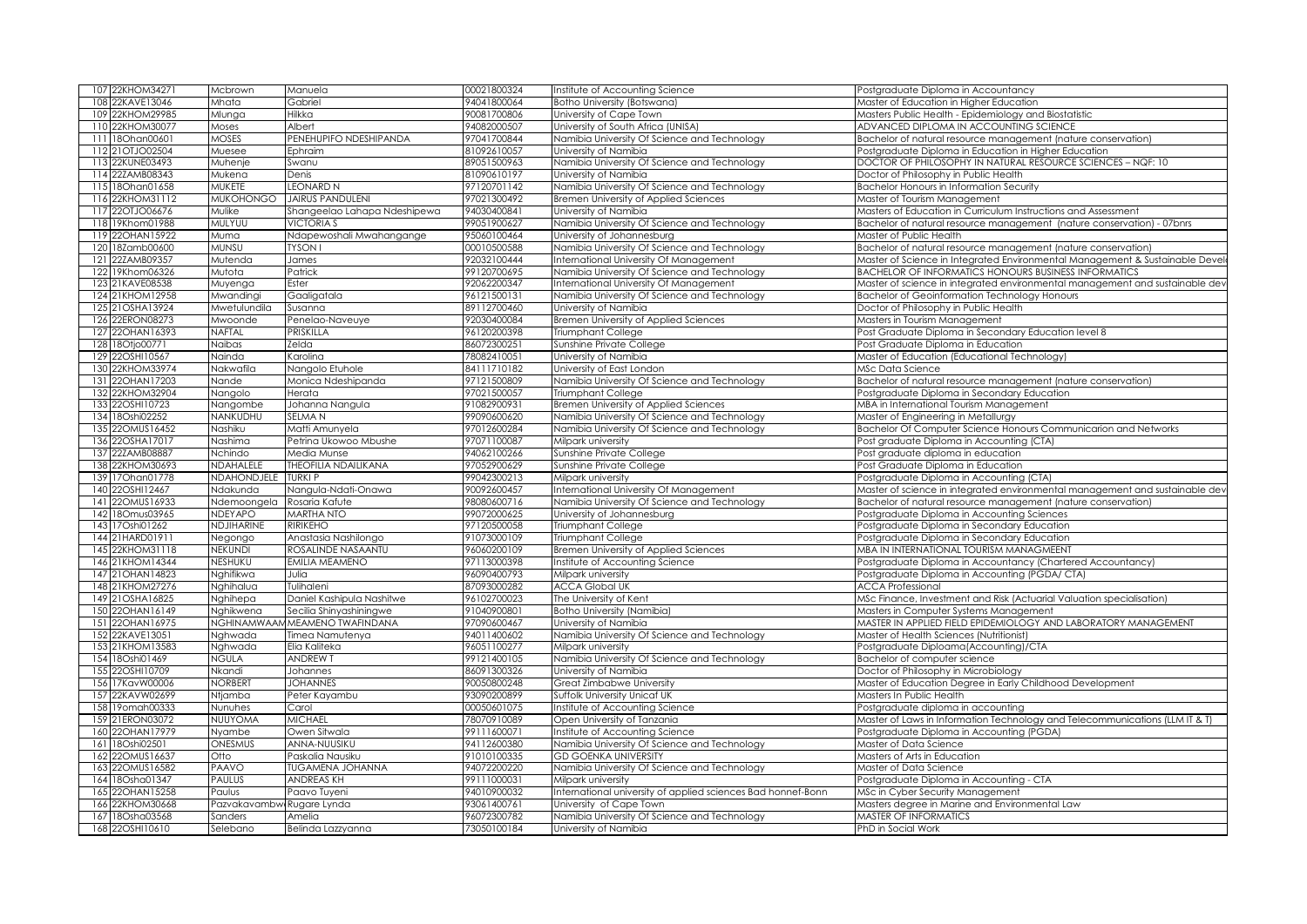| 108 22KAVE13046<br>Gabriel<br>94041800064<br>Mhata<br>Botho University (Botswana)<br>Master of Education in Higher Education<br>109 22KHOM29985<br>Hilkka<br>90081700806<br>University of Cape Town<br>Masters Public Health - Epidemiology and Biostatistic<br>Mlunga<br>110 22KHOM30077<br>Albert<br>94082000507<br>University of South Africa (UNISA)<br>ADVANCED DIPLOMA IN ACCOUNTING SCIENCE<br>Moses<br>PENEHUPIFO NDESHIPANDA<br>111 18Ohan00601<br><b>MOSES</b><br>97041700844<br>Namibia University Of Science and Technology<br>Bachelor of natural resource management (nature conservation)<br>112 21 OT JO02504<br>Muesee<br>Ephraim<br>81092610057<br>University of Namibia<br>Postgraduate Diploma in Education in Higher Education<br>113 22KUNE03493<br>89051500963<br>DOCTOR OF PHILOSOPHY IN NATURAL RESOURCE SCIENCES - NQF: 10<br>Muhenje<br>Namibia University Of Science and Technology<br>Swanu<br>114 22ZAMB08343<br>81090610197<br>Mukena<br>Denis<br>University of Namibia<br>Doctor of Philosophy in Public Health<br>115 18Ohan01658<br>MUKETE<br><b>LEONARD N</b><br>97120701142<br>Namibia University Of Science and Technology<br><b>Bachelor Honours in Information Security</b><br>116 22KHOM31112<br><b>MUKOHONGO</b><br>JAIRUS PANDULENI<br>97021300492<br>Bremen University of Applied Sciences<br>Master of Tourism Management<br>117 22OTJO06676<br>94030400841<br>Masters of Education in Curriculum Instructions and Assessment<br>Mulike<br>Shangeelao Lahapa Ndeshipewa<br>University of Namibia |  |
|----------------------------------------------------------------------------------------------------------------------------------------------------------------------------------------------------------------------------------------------------------------------------------------------------------------------------------------------------------------------------------------------------------------------------------------------------------------------------------------------------------------------------------------------------------------------------------------------------------------------------------------------------------------------------------------------------------------------------------------------------------------------------------------------------------------------------------------------------------------------------------------------------------------------------------------------------------------------------------------------------------------------------------------------------------------------------------------------------------------------------------------------------------------------------------------------------------------------------------------------------------------------------------------------------------------------------------------------------------------------------------------------------------------------------------------------------------------------------------------------------------------------------------------------|--|
|                                                                                                                                                                                                                                                                                                                                                                                                                                                                                                                                                                                                                                                                                                                                                                                                                                                                                                                                                                                                                                                                                                                                                                                                                                                                                                                                                                                                                                                                                                                                              |  |
|                                                                                                                                                                                                                                                                                                                                                                                                                                                                                                                                                                                                                                                                                                                                                                                                                                                                                                                                                                                                                                                                                                                                                                                                                                                                                                                                                                                                                                                                                                                                              |  |
|                                                                                                                                                                                                                                                                                                                                                                                                                                                                                                                                                                                                                                                                                                                                                                                                                                                                                                                                                                                                                                                                                                                                                                                                                                                                                                                                                                                                                                                                                                                                              |  |
|                                                                                                                                                                                                                                                                                                                                                                                                                                                                                                                                                                                                                                                                                                                                                                                                                                                                                                                                                                                                                                                                                                                                                                                                                                                                                                                                                                                                                                                                                                                                              |  |
|                                                                                                                                                                                                                                                                                                                                                                                                                                                                                                                                                                                                                                                                                                                                                                                                                                                                                                                                                                                                                                                                                                                                                                                                                                                                                                                                                                                                                                                                                                                                              |  |
|                                                                                                                                                                                                                                                                                                                                                                                                                                                                                                                                                                                                                                                                                                                                                                                                                                                                                                                                                                                                                                                                                                                                                                                                                                                                                                                                                                                                                                                                                                                                              |  |
|                                                                                                                                                                                                                                                                                                                                                                                                                                                                                                                                                                                                                                                                                                                                                                                                                                                                                                                                                                                                                                                                                                                                                                                                                                                                                                                                                                                                                                                                                                                                              |  |
|                                                                                                                                                                                                                                                                                                                                                                                                                                                                                                                                                                                                                                                                                                                                                                                                                                                                                                                                                                                                                                                                                                                                                                                                                                                                                                                                                                                                                                                                                                                                              |  |
|                                                                                                                                                                                                                                                                                                                                                                                                                                                                                                                                                                                                                                                                                                                                                                                                                                                                                                                                                                                                                                                                                                                                                                                                                                                                                                                                                                                                                                                                                                                                              |  |
|                                                                                                                                                                                                                                                                                                                                                                                                                                                                                                                                                                                                                                                                                                                                                                                                                                                                                                                                                                                                                                                                                                                                                                                                                                                                                                                                                                                                                                                                                                                                              |  |
| 118 19Khom01988<br>MULYUU<br>99051900627<br>Namibia University Of Science and Technology<br>Bachelor of natural resource management (nature conservation) - 07bnrs<br><b>VICTORIA S</b>                                                                                                                                                                                                                                                                                                                                                                                                                                                                                                                                                                                                                                                                                                                                                                                                                                                                                                                                                                                                                                                                                                                                                                                                                                                                                                                                                      |  |
| 119 22OHAN15922<br>95060100464<br>Ndapewoshali Mwahangange<br>University of Johannesburg<br>Master of Public Health<br>Muma                                                                                                                                                                                                                                                                                                                                                                                                                                                                                                                                                                                                                                                                                                                                                                                                                                                                                                                                                                                                                                                                                                                                                                                                                                                                                                                                                                                                                  |  |
| 120 18Zamb00600<br><b>MUNSU</b><br><b>TYSON</b><br>00010500588<br>Namibia University Of Science and Technology<br>Bachelor of natural resource management (nature conservation)                                                                                                                                                                                                                                                                                                                                                                                                                                                                                                                                                                                                                                                                                                                                                                                                                                                                                                                                                                                                                                                                                                                                                                                                                                                                                                                                                              |  |
| 121 22ZAMB09357<br>Mutenda<br>92032100444<br>nternational University Of Management<br>Master of Science in Integrated Environmental Management & Sustainable Devel<br>James                                                                                                                                                                                                                                                                                                                                                                                                                                                                                                                                                                                                                                                                                                                                                                                                                                                                                                                                                                                                                                                                                                                                                                                                                                                                                                                                                                  |  |
| Patrick<br>99120700695<br>122 19Khom06326<br>Mutota<br>Namibia University Of Science and Technology<br><b>BACHELOR OF INFORMATICS HONOURS BUSINESS INFORMATICS</b>                                                                                                                                                                                                                                                                                                                                                                                                                                                                                                                                                                                                                                                                                                                                                                                                                                                                                                                                                                                                                                                                                                                                                                                                                                                                                                                                                                           |  |
| 123 21KAVE08538<br>92062200347<br>Ester<br>Master of science in integrated environmental management and sustainable dev                                                                                                                                                                                                                                                                                                                                                                                                                                                                                                                                                                                                                                                                                                                                                                                                                                                                                                                                                                                                                                                                                                                                                                                                                                                                                                                                                                                                                      |  |
| nternational University Of Management<br>Muyenga                                                                                                                                                                                                                                                                                                                                                                                                                                                                                                                                                                                                                                                                                                                                                                                                                                                                                                                                                                                                                                                                                                                                                                                                                                                                                                                                                                                                                                                                                             |  |
| 96121500131<br>124 21KHOM12958<br>Gaaligatala<br>Namibia University Of Science and Technology<br><b>Bachelor of Geoinformation Technology Honours</b><br>Mwandingi                                                                                                                                                                                                                                                                                                                                                                                                                                                                                                                                                                                                                                                                                                                                                                                                                                                                                                                                                                                                                                                                                                                                                                                                                                                                                                                                                                           |  |
| 125 21 OSHA13924<br>89112700460<br>University of Namibia<br>Doctor of Philosophy in Public Health<br>Mwetulundila<br>Susanna                                                                                                                                                                                                                                                                                                                                                                                                                                                                                                                                                                                                                                                                                                                                                                                                                                                                                                                                                                                                                                                                                                                                                                                                                                                                                                                                                                                                                 |  |
| 126 22ERON08273<br>Mwoonde<br>92030400084<br>Bremen University of Applied Sciences<br>Penelao-Naveuye<br>Masters in Tourism Management                                                                                                                                                                                                                                                                                                                                                                                                                                                                                                                                                                                                                                                                                                                                                                                                                                                                                                                                                                                                                                                                                                                                                                                                                                                                                                                                                                                                       |  |
| NAFTAL<br>127 22OHAN16393<br>PRISKILLA<br>96120200398<br>Triumphant College<br>Post Graduate Diploma in Secondary Education level 8                                                                                                                                                                                                                                                                                                                                                                                                                                                                                                                                                                                                                                                                                                                                                                                                                                                                                                                                                                                                                                                                                                                                                                                                                                                                                                                                                                                                          |  |
| 128 18Otio00771<br>Naibas<br>Zelda<br>86072300251<br>Sunshine Private College<br>Post Graduate Diploma in Education                                                                                                                                                                                                                                                                                                                                                                                                                                                                                                                                                                                                                                                                                                                                                                                                                                                                                                                                                                                                                                                                                                                                                                                                                                                                                                                                                                                                                          |  |
| 129 22OSHI10567<br>Karolina<br>78082410051<br>Master of Education (Educational Technology)<br>Nainda<br>University of Namibia                                                                                                                                                                                                                                                                                                                                                                                                                                                                                                                                                                                                                                                                                                                                                                                                                                                                                                                                                                                                                                                                                                                                                                                                                                                                                                                                                                                                                |  |
| 130 22KHOM33974<br>Nakwafila<br>84111710182<br>Nangolo Etuhole<br>University of East London<br>MSc Data Science                                                                                                                                                                                                                                                                                                                                                                                                                                                                                                                                                                                                                                                                                                                                                                                                                                                                                                                                                                                                                                                                                                                                                                                                                                                                                                                                                                                                                              |  |
| Monica Ndeshipanda<br>Namibia University Of Science and Technology<br>Bachelor of natural resource management (nature conservation)<br>131 22OHAN17203<br>Vande<br>97121500809                                                                                                                                                                                                                                                                                                                                                                                                                                                                                                                                                                                                                                                                                                                                                                                                                                                                                                                                                                                                                                                                                                                                                                                                                                                                                                                                                               |  |
| 132 22KHOM32904<br>Nangolo<br>Herata<br>97021500057<br>Triumphant College<br>Postgraduate Diploma in Secondary Education                                                                                                                                                                                                                                                                                                                                                                                                                                                                                                                                                                                                                                                                                                                                                                                                                                                                                                                                                                                                                                                                                                                                                                                                                                                                                                                                                                                                                     |  |
| 133 22OSHI10723<br>91082900931<br>Bremen University of Applied Sciences<br>Nangombe<br>Johanna Nangula<br>MBA in International Tourism Management                                                                                                                                                                                                                                                                                                                                                                                                                                                                                                                                                                                                                                                                                                                                                                                                                                                                                                                                                                                                                                                                                                                                                                                                                                                                                                                                                                                            |  |
| 134 18Oshi02252<br>NANKUDHU<br>99090600620<br>Namibia University Of Science and Technology<br>SELMA N<br>Master of Engineering in Metallurgy                                                                                                                                                                                                                                                                                                                                                                                                                                                                                                                                                                                                                                                                                                                                                                                                                                                                                                                                                                                                                                                                                                                                                                                                                                                                                                                                                                                                 |  |
| 135 22OMUS16452<br>97012600284<br>Namibia University Of Science and Technology<br>Nashiku<br>Matti Amunyela<br>Bachelor Of Computer Science Honours Communicarion and Networks                                                                                                                                                                                                                                                                                                                                                                                                                                                                                                                                                                                                                                                                                                                                                                                                                                                                                                                                                                                                                                                                                                                                                                                                                                                                                                                                                               |  |
| 136 22OSHA17017<br>Nashima<br>Petrina Ukowoo Mbushe<br>97071100087<br>Post graduate Diploma in Accounting (CTA)<br>Milpark university                                                                                                                                                                                                                                                                                                                                                                                                                                                                                                                                                                                                                                                                                                                                                                                                                                                                                                                                                                                                                                                                                                                                                                                                                                                                                                                                                                                                        |  |
| 137 22ZAMB08887<br>Nchindo<br>Media Munse<br>94062100266<br>Sunshine Private College<br>Post graduate diploma in education                                                                                                                                                                                                                                                                                                                                                                                                                                                                                                                                                                                                                                                                                                                                                                                                                                                                                                                                                                                                                                                                                                                                                                                                                                                                                                                                                                                                                   |  |
| 138 22KHOM30693<br>NDAHALELE<br>THEOFILIA NDAILIKANA<br>97052900629<br>Sunshine Private College<br>Post Graduate Diploma in Education                                                                                                                                                                                                                                                                                                                                                                                                                                                                                                                                                                                                                                                                                                                                                                                                                                                                                                                                                                                                                                                                                                                                                                                                                                                                                                                                                                                                        |  |
| 139 17Ohan01778<br>NDAHONDJELE<br>99042300213<br><b>TURKI P</b><br>Milpark university<br>Postgraduate Diploma in Accounting (CTA)                                                                                                                                                                                                                                                                                                                                                                                                                                                                                                                                                                                                                                                                                                                                                                                                                                                                                                                                                                                                                                                                                                                                                                                                                                                                                                                                                                                                            |  |
| 140 22OSHI12467<br>90092600457<br>Ndakunda<br>Nangula-Ndati-Onawa<br>nternational University Of Management<br>Master of science in integrated environmental management and sustainable dev                                                                                                                                                                                                                                                                                                                                                                                                                                                                                                                                                                                                                                                                                                                                                                                                                                                                                                                                                                                                                                                                                                                                                                                                                                                                                                                                                   |  |
| 141 22OMUS16933<br>Ndemoongela<br>Rosaria Kafute<br>98080600716<br>Namibia University Of Science and Technology<br>Bachelor of natural resource management (nature conservation)                                                                                                                                                                                                                                                                                                                                                                                                                                                                                                                                                                                                                                                                                                                                                                                                                                                                                                                                                                                                                                                                                                                                                                                                                                                                                                                                                             |  |
|                                                                                                                                                                                                                                                                                                                                                                                                                                                                                                                                                                                                                                                                                                                                                                                                                                                                                                                                                                                                                                                                                                                                                                                                                                                                                                                                                                                                                                                                                                                                              |  |
| NDEYAPO<br><b>MARTHA NTO</b><br>99072000625<br>University of Johannesburg<br>Postgraduate Diploma in Accounting Sciences                                                                                                                                                                                                                                                                                                                                                                                                                                                                                                                                                                                                                                                                                                                                                                                                                                                                                                                                                                                                                                                                                                                                                                                                                                                                                                                                                                                                                     |  |
| NDJIHARINE<br><b>RIRIKEHO</b><br>97120500058<br>lri∪mphant Colleae<br>Postgraduate Diploma in Secondary Education                                                                                                                                                                                                                                                                                                                                                                                                                                                                                                                                                                                                                                                                                                                                                                                                                                                                                                                                                                                                                                                                                                                                                                                                                                                                                                                                                                                                                            |  |
| Anastasia Nashilongo<br>91073000109<br>Triumphant College<br>Postgraduate Diploma in Secondary Education<br>Negongo                                                                                                                                                                                                                                                                                                                                                                                                                                                                                                                                                                                                                                                                                                                                                                                                                                                                                                                                                                                                                                                                                                                                                                                                                                                                                                                                                                                                                          |  |
| NEKUNDI<br>ROSALINDE NASAANTU<br>MBA IN INTERNATIONAL TOURISM MANAGMEENT<br>96060200109<br>Bremen University of Applied Sciences                                                                                                                                                                                                                                                                                                                                                                                                                                                                                                                                                                                                                                                                                                                                                                                                                                                                                                                                                                                                                                                                                                                                                                                                                                                                                                                                                                                                             |  |
| <b>NESHUKU</b><br><b>EMILIA MEAMENO</b><br>97113000398<br>nstitute of Accounting Science<br>Postgraduate Diploma in Accountancy (Chartered Accountancy)                                                                                                                                                                                                                                                                                                                                                                                                                                                                                                                                                                                                                                                                                                                                                                                                                                                                                                                                                                                                                                                                                                                                                                                                                                                                                                                                                                                      |  |
| Nghifikwa<br>Julia<br>96090400793<br>Milpark university<br>Postgraduate Diploma in Accounting (PGDA/ CTA)                                                                                                                                                                                                                                                                                                                                                                                                                                                                                                                                                                                                                                                                                                                                                                                                                                                                                                                                                                                                                                                                                                                                                                                                                                                                                                                                                                                                                                    |  |
| 87093000282<br>Nghihalua<br>Tulihaleni<br><b>ACCA Global UK</b><br><b>ACCA Professional</b>                                                                                                                                                                                                                                                                                                                                                                                                                                                                                                                                                                                                                                                                                                                                                                                                                                                                                                                                                                                                                                                                                                                                                                                                                                                                                                                                                                                                                                                  |  |
| The University of Kent<br>Nghihepa<br>96102700023<br>MSc Finance, Investment and Risk (Actuarial Valuation specialisation)                                                                                                                                                                                                                                                                                                                                                                                                                                                                                                                                                                                                                                                                                                                                                                                                                                                                                                                                                                                                                                                                                                                                                                                                                                                                                                                                                                                                                   |  |
| Daniel Kashipula Nashitwe                                                                                                                                                                                                                                                                                                                                                                                                                                                                                                                                                                                                                                                                                                                                                                                                                                                                                                                                                                                                                                                                                                                                                                                                                                                                                                                                                                                                                                                                                                                    |  |
| Nghikwena<br>91040900801<br>Secilia Shinyashiningwe<br>Botho University (Namibia)<br>Masters in Computer Systems Management                                                                                                                                                                                                                                                                                                                                                                                                                                                                                                                                                                                                                                                                                                                                                                                                                                                                                                                                                                                                                                                                                                                                                                                                                                                                                                                                                                                                                  |  |
| NGHINAMWAAM MEAMENO TWAFINDANA<br>97090600467<br>MASTER IN APPLIED FIELD EPIDEMIOLOGY AND LABORATORY MANAGEMENT<br>University of Namibia                                                                                                                                                                                                                                                                                                                                                                                                                                                                                                                                                                                                                                                                                                                                                                                                                                                                                                                                                                                                                                                                                                                                                                                                                                                                                                                                                                                                     |  |
| 94011400602<br>Nghwada<br>Timea Namutenya<br>Namibia University Of Science and Technology<br>Master of Health Sciences (Nutritionist)<br>Elia Kaliteka                                                                                                                                                                                                                                                                                                                                                                                                                                                                                                                                                                                                                                                                                                                                                                                                                                                                                                                                                                                                                                                                                                                                                                                                                                                                                                                                                                                       |  |
| Nghwada<br>96051100277<br>Milpark university<br>Postgraduate Diploama(Accounting)/CTA                                                                                                                                                                                                                                                                                                                                                                                                                                                                                                                                                                                                                                                                                                                                                                                                                                                                                                                                                                                                                                                                                                                                                                                                                                                                                                                                                                                                                                                        |  |
| <b>ANDREW T</b><br>99121400105<br>Namibia University Of Science and Technology<br>NGULA<br>Bachelor of computer science                                                                                                                                                                                                                                                                                                                                                                                                                                                                                                                                                                                                                                                                                                                                                                                                                                                                                                                                                                                                                                                                                                                                                                                                                                                                                                                                                                                                                      |  |
| Nkandi<br>86091300326<br>University of Namibia<br>Johannes<br>Doctor of Philosophy in Microbiology                                                                                                                                                                                                                                                                                                                                                                                                                                                                                                                                                                                                                                                                                                                                                                                                                                                                                                                                                                                                                                                                                                                                                                                                                                                                                                                                                                                                                                           |  |
| <b>NORBERT</b><br><b>JOHANNES</b><br>90050800248<br>Great Zimbabwe University<br>Master of Education Degree in Early Childhood Development                                                                                                                                                                                                                                                                                                                                                                                                                                                                                                                                                                                                                                                                                                                                                                                                                                                                                                                                                                                                                                                                                                                                                                                                                                                                                                                                                                                                   |  |
| Ntjamba<br>Peter Kayambu<br>93090200899<br>Suffolk University Unicaf UK<br>Masters In Public Health                                                                                                                                                                                                                                                                                                                                                                                                                                                                                                                                                                                                                                                                                                                                                                                                                                                                                                                                                                                                                                                                                                                                                                                                                                                                                                                                                                                                                                          |  |
| Nunuhes<br>00050601075<br>nstitute of Accounting Science<br>Postgraduate diploma in accounting<br>Carol                                                                                                                                                                                                                                                                                                                                                                                                                                                                                                                                                                                                                                                                                                                                                                                                                                                                                                                                                                                                                                                                                                                                                                                                                                                                                                                                                                                                                                      |  |
| NUUYOMA<br><b>MICHAEL</b><br>78070910089<br>Open University of Tanzania<br>Master of Laws in Information Technology and Telecommunications (LLM IT & T)                                                                                                                                                                                                                                                                                                                                                                                                                                                                                                                                                                                                                                                                                                                                                                                                                                                                                                                                                                                                                                                                                                                                                                                                                                                                                                                                                                                      |  |
| 99111600071<br>Owen Sitwala<br>nstitute of Accounting Science<br>Postgraduate Diploma in Accounting (PGDA)<br>Nyambe                                                                                                                                                                                                                                                                                                                                                                                                                                                                                                                                                                                                                                                                                                                                                                                                                                                                                                                                                                                                                                                                                                                                                                                                                                                                                                                                                                                                                         |  |
| ONESMUS<br>ANNA-NUUSIKU<br>94112600380<br>Namibia University Of Science and Technology<br>Master of Data Science                                                                                                                                                                                                                                                                                                                                                                                                                                                                                                                                                                                                                                                                                                                                                                                                                                                                                                                                                                                                                                                                                                                                                                                                                                                                                                                                                                                                                             |  |
| Otto<br>Paskalia Nausiku<br>91010100335<br><b>GD GOENKA UNIVERSITY</b><br>Masters of Arts in Education                                                                                                                                                                                                                                                                                                                                                                                                                                                                                                                                                                                                                                                                                                                                                                                                                                                                                                                                                                                                                                                                                                                                                                                                                                                                                                                                                                                                                                       |  |
| PAAVO<br><b>IUGAMENA JOHANNA</b><br>94072200220<br>Namibia University Of Science and Technology<br>Master of Data Science                                                                                                                                                                                                                                                                                                                                                                                                                                                                                                                                                                                                                                                                                                                                                                                                                                                                                                                                                                                                                                                                                                                                                                                                                                                                                                                                                                                                                    |  |
| <b>PAULUS</b><br><b>ANDREAS KH</b><br>99111000031<br>Milpark university<br>Postgraduate Diploma in Accounting - CTA                                                                                                                                                                                                                                                                                                                                                                                                                                                                                                                                                                                                                                                                                                                                                                                                                                                                                                                                                                                                                                                                                                                                                                                                                                                                                                                                                                                                                          |  |
| 142 180mus03965<br>143 17 Oshi 01 262<br>144 21HARD0191<br>145 22KHOM31118<br>146 21KHOM14344<br>147 21 OHAN 14823<br>148 21KHOM27276<br>149 21 OSHA1 6825<br>150 22OHAN16149<br>151 22OHAN16975<br>152 22KAVE13051<br>153 21KHOM13583<br>154 18Oshi01469<br>155 22OSHI10709<br>156 17KavW00006<br>157 22KAVW02699<br>158 19 om ah00333<br>159 21 ERON03072<br>160 22OHAN17979<br>161 18Oshi02501<br>162 22OMUS16637<br>163 22OMUS16582<br>164 18Osha01347<br>165 22OHAN15258<br>Paulus<br>Paavo Tuyeni<br>94010900032<br>International university of applied sciences Bad honnef-Bonn<br>MSc in Cyber Security Management                                                                                                                                                                                                                                                                                                                                                                                                                                                                                                                                                                                                                                                                                                                                                                                                                                                                                                                   |  |
| 166 22KHOM30668<br>93061400761<br>Masters degree in Marine and Environmental Law<br>Pazvakavambw. Rugare Lynda<br>University of Cape Town                                                                                                                                                                                                                                                                                                                                                                                                                                                                                                                                                                                                                                                                                                                                                                                                                                                                                                                                                                                                                                                                                                                                                                                                                                                                                                                                                                                                    |  |
| 167 18Osha03568<br>96072300782<br>Namibia University Of Science and Technology<br><b>MASTER OF INFORMATICS</b><br>Sanders<br>Amelia<br>168 22OSHI10610<br>Selebano<br>73050100184<br>University of Namibia<br>PhD in Social Work<br>Belinda Lazzyanna                                                                                                                                                                                                                                                                                                                                                                                                                                                                                                                                                                                                                                                                                                                                                                                                                                                                                                                                                                                                                                                                                                                                                                                                                                                                                        |  |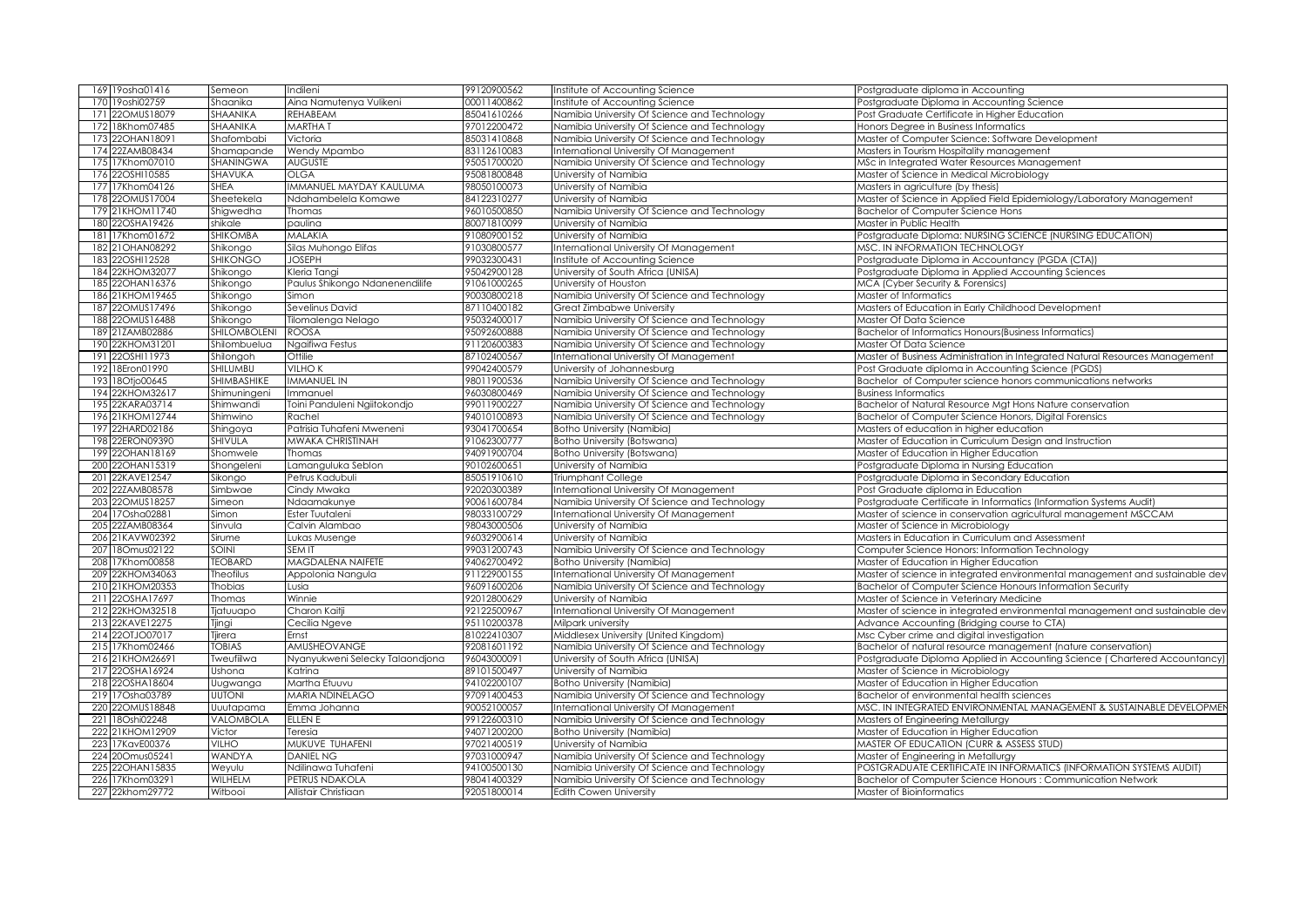| 169 19 osha01416   | Semeon          | Indileni                        | 99120900562 | Institute of Accounting Science              | Postgraduate diploma in Accounting                                           |
|--------------------|-----------------|---------------------------------|-------------|----------------------------------------------|------------------------------------------------------------------------------|
| 170 19 oshi02759   | Shaanika        | Aina Namutenya Vulikeni         | 00011400862 | nstitute of Accounting Science               | Postgraduate Diploma in Accounting Science                                   |
| 171 220 MUS18079   | SHAANIKA        | <b>REHABEAM</b>                 | 85041610266 | Namibia University Of Science and Technology | Post Graduate Certificate in Higher Education                                |
| 172 18Khom07485    | SHAANIKA        | <b>MARTHAT</b>                  | 97012200472 | Namibia University Of Science and Technology | Honors Degree in Business Informatics                                        |
| 173 22OHAN18091    | Shafombabi      | Victoria                        | 85031410868 | Namibia University Of Science and Technology | Master of Computer Science: Software Development                             |
| 174 22ZAMB08434    | Shamapande      | Wendy Mpambo                    | 83112610083 | International University Of Management       | Masters in Tourism Hospitality management                                    |
| 175 17Khom07010    | SHANINGWA       | <b>AUGUSTE</b>                  | 95051700020 | Namibia University Of Science and Technology | MSc in Integrated Water Resources Management                                 |
| 176 22OSHI10585    | SHAVUKA         | <b>OLGA</b>                     | 95081800848 | University of Namibia                        | Master of Science in Medical Microbiology                                    |
| 177 17Khom04126    | <b>SHEA</b>     | IMMANUEL MAYDAY KAULUMA         | 98050100073 | University of Namibia                        | Masters in agriculture (by thesis)                                           |
| 178 220MUS17004    |                 |                                 | 84122310277 |                                              | Master of Science in Applied Field Epidemiology/Laboratory Management        |
|                    | Sheetekela      | Ndahambelela Komawe             |             | University of Namibia                        |                                                                              |
| 179 21KHOM11740    | Shigwedha       | Thomas                          | 96010500850 | Namibia University Of Science and Technology | <b>Bachelor of Computer Science Hons</b>                                     |
| 180 22OSHA19426    | shikale         | paulina                         | 80071810099 | University of Namibia                        | Master in Public Health                                                      |
| 17Khom01672<br>181 | <b>SHIKOMBA</b> | <b>MALAKIA</b>                  | 91080900152 | University of Namibia                        | Postgraduate Diploma: NURSING SCIENCE (NURSING EDUCATION)                    |
| 182 21 OHAN 08292  | Shikongo        | Silas Muhongo Elifas            | 91030800577 | nternational University Of Management        | MSC. IN INFORMATION TECHNOLOGY                                               |
| 183 22OSHI12528    | <b>SHIKONGO</b> | <b>JOSEPH</b>                   | 99032300431 | nstitute of Accounting Science               | Postgraduate Diploma in Accountancy (PGDA (CTA))                             |
| 184 22KHOM32077    | Shikongo        | Kleria Tangi                    | 95042900128 | University of South Africa (UNISA)           | Postgraduate Diploma in Applied Accounting Sciences                          |
| 185 22OHAN16376    | Shikongo        | Paulus Shikongo Ndanenendilife  | 91061000265 | University of Houston                        | MCA (Cyber Security & Forensics)                                             |
| 186 21KHOM19465    | Shikongo        | Simon                           | 90030800218 | Namibia University Of Science and Technology | Master of Informatics                                                        |
| 187 22OMUS17496    | Shikongo        | Sevelinus David                 | 87110400182 | Great Zimbabwe University                    | Masters of Education in Early Childhood Development                          |
| 188 22OMUS16488    | Shikongo        | Tilomalenga Nelago              | 95032400017 | Namibia University Of Science and Technology | Master Of Data Science                                                       |
| 189 21ZAMB02886    | SHILOMBOLENI    | <b>ROOSA</b>                    | 95092600888 | Namibia University Of Science and Technology | Bachelor of Informatics Honours (Business Informatics)                       |
| 190 22KHOM3120     | Shilombuelua    | Ngaifiwa Festus                 | 91120600383 | Namibia University Of Science and Technology | Master Of Data Science                                                       |
| 191 22OSHI11973    | Shilongoh       | Ottilie                         | 87102400567 | nternational University Of Management        | Master of Business Administration in Integrated Natural Resources Management |
| 192 18Eron01990    | SHILUMBU        | VILHO K                         | 99042400579 | University of Johannesburg                   | Post Graduate diploma in Accounting Science (PGDS)                           |
| 193 18Otjo00645    | SHIMBASHIKE     | <b>IMMANUEL IN</b>              | 98011900536 | Namibia University Of Science and Technology | Bachelor of Computer science honors communications networks                  |
| 194 22KHOM32617    | Shimuningeni    | Immanuel                        | 96030800469 | Namibia University Of Science and Technology | <b>Business Informatics</b>                                                  |
| 195 22KARA03714    | Shimwandi       | Toini Panduleni Ngiitokondjo    | 99011900227 | Namibia University Of Science and Technology | Bachelor of Natural Resource Mgt Hons Nature conservation                    |
| 196 21KHOM12744    | Shimwino        | Rachel                          | 94010100893 | Namibia University Of Science and Technology | Bachelor of Computer Science Honors, Digital Forensics                       |
| 197 22HARD02186    | Shingoya        | Patrisia Tuhafeni Mweneni       | 93041700654 | Botho University (Namibia)                   | Masters of education in higher education                                     |
| 198 22ERON09390    | SHIVULA         | <b>MWAKA CHRISTINAH</b>         | 91062300777 | Botho University (Botswana)                  | Master of Education in Curriculum Design and Instruction                     |
| 199 22OHAN18169    |                 | Thomas                          | 94091900704 | Botho University (Botswana)                  | Master of Education in Higher Education                                      |
| 200 22OHAN15319    | Shomwele        | Lamanguluka Seblon              | 90102600651 | University of Namibia                        | Postgraduate Diploma in Nursing Education                                    |
|                    | Shongeleni      |                                 |             |                                              |                                                                              |
| 201 22KAVE12547    | Sikongo         | Petrus Kadubuli                 | 85051910610 | Triumphant College                           | Postgraduate Diploma in Secondary Education                                  |
| 202 22ZAMB08578    | Simbwae         | Cindy Mwaka                     | 92020300389 | nternational University Of Management        | Post Graduate diploma in Education                                           |
| 203 22OMUS18257    | Simeon          | Ndaamakunye                     | 90061600784 | Namibia University Of Science and Technology | Postgraduate Certificate in Informatics (Information Systems Audit)          |
| 204 17Osha02881    | Simon           | Ester Tuutaleni                 | 98033100729 | nternational University Of Management        | Master of science in conservation agricultural management MSCCAM             |
| 205 22ZAMB08364    | Sinvula         | Calvin Alambao                  | 98043000506 | University of Namibia                        | Master of Science in Microbiology                                            |
| 206 21KAVW02392    | Sirume          | Lukas Musenge                   | 96032900614 | University of Namibia                        | Masters in Education in Curriculum and Assessment                            |
| 207 18Omus02122    | SOINI           | SEM IT                          | 99031200743 | Namibia University Of Science and Technology | Computer Science Honors: Information Technology                              |
| 208 17Khom00858    | <b>TEOBARD</b>  | MAGDALENA NAIFETE               | 94062700492 | Botho University (Namibia)                   | Master of Education in Higher Education                                      |
| 209 22KHOM34063    | Theofilus       | Appolonia Nangula               | 91122900155 | International University Of Management       | Master of science in integrated environmental management and sustainable dev |
| 210 21KHOM20353    | Thobias         | Lusia                           | 96091600206 | Namibia University Of Science and Technology | Bachelor of Computer Science Honours Information Security                    |
| 211 22OSHA17697    | Thomas          | Winnie                          | 92012800629 | University of Namibia                        | Master of Science in Veterinary Medicine                                     |
| 212 22KHOM32518    | Tjatuuapo       | Charon Kaitji                   | 92122500967 | nternational University Of Management        | Master of science in integrated environmental management and sustainable dev |
| 213 22KAVE12275    | Tjingi          | Cecilia Ngeve                   | 95110200378 | Milpark university                           | Advance Accounting (Bridging course to CTA)                                  |
| 214 22OTJO07017    | Tjirera         | Ernst                           | 81022410307 | Middlesex University (United Kingdom)        | Msc Cyber crime and digital investigation                                    |
| 215 17Khom02466    | <b>TOBIAS</b>   | AMUSHEOVANGE                    | 92081601192 | Namibia University Of Science and Technology | Bachelor of natural resource management (nature conservation)                |
| 216 21KHOM26691    | Tweufiilwa      | Nyanyukweni Selecky Talaondjona | 96043000091 | University of South Africa (UNISA)           | Postgraduate Diploma Applied in Accounting Science ( Chartered Accountancy   |
| 217 22OSHA16924    | Ushona          | Katrina                         | 89101500497 | University of Namibia                        | Master of Science in Microbiology                                            |
| 218 22OSHA18604    | Uugwanga        | Martha Etuuvu                   | 94102200107 | Botho University (Namibia)                   | Master of Education in Higher Education                                      |
| 219 17Osha03789    | <b>UUTONI</b>   | MARIA NDINELAGO                 | 97091400453 | Namibia University Of Science and Technology | Bachelor of environmental health sciences                                    |
| 220 220 MUS18848   | Uuutapama       | Emma Johanna                    | 90052100057 | nternational University Of Management        | MSC. IN INTEGRATED ENVIRONMENTAL MANAGEMENT & SUSTAINABLE DEVELOPMEI         |
| 221 18Oshi02248    | VALOMBOLA       | ELLEN E                         | 99122600310 | Namibia University Of Science and Technology | Masters of Engineering Metallurgy                                            |
| 222 21KHOM12909    | Victor          | Teresia                         | 94071200200 | Botho University (Namibia)                   | Master of Education in Higher Education                                      |
|                    |                 | MUKUVE TUHAFENI                 | 97021400519 |                                              | MASTER OF EDUCATION (CURR & ASSESS STUD)                                     |
| 223 17KavE00376    | <b>VILHO</b>    |                                 |             | University of Namibia                        |                                                                              |
| 224 200mus05241    | WANDYA          | <b>DANIEL NG</b>                | 97031000947 | Namibia University Of Science and Technology | Master of Engineering in Metallurgy                                          |
| 225 22OHAN15835    | Weyulu          | Ndilinawa Tuhafeni              | 94100500130 | Namibia University Of Science and Technology | POSTGRADUATE CERTIFICATE IN INFORMATICS (INFORMATION SYSTEMS AUDIT)          |
| 226 17Khom03291    | WILHELM         | PETRUS NDAKOLA                  | 98041400329 | Namibia University Of Science and Technology | Bachelor of Computer Science Honours : Communication Network                 |
| 227 22khom29772    | Witbooi         | Allistair Christiaan            | 92051800014 | Edith Cowen University                       | Master of Bioinformatics                                                     |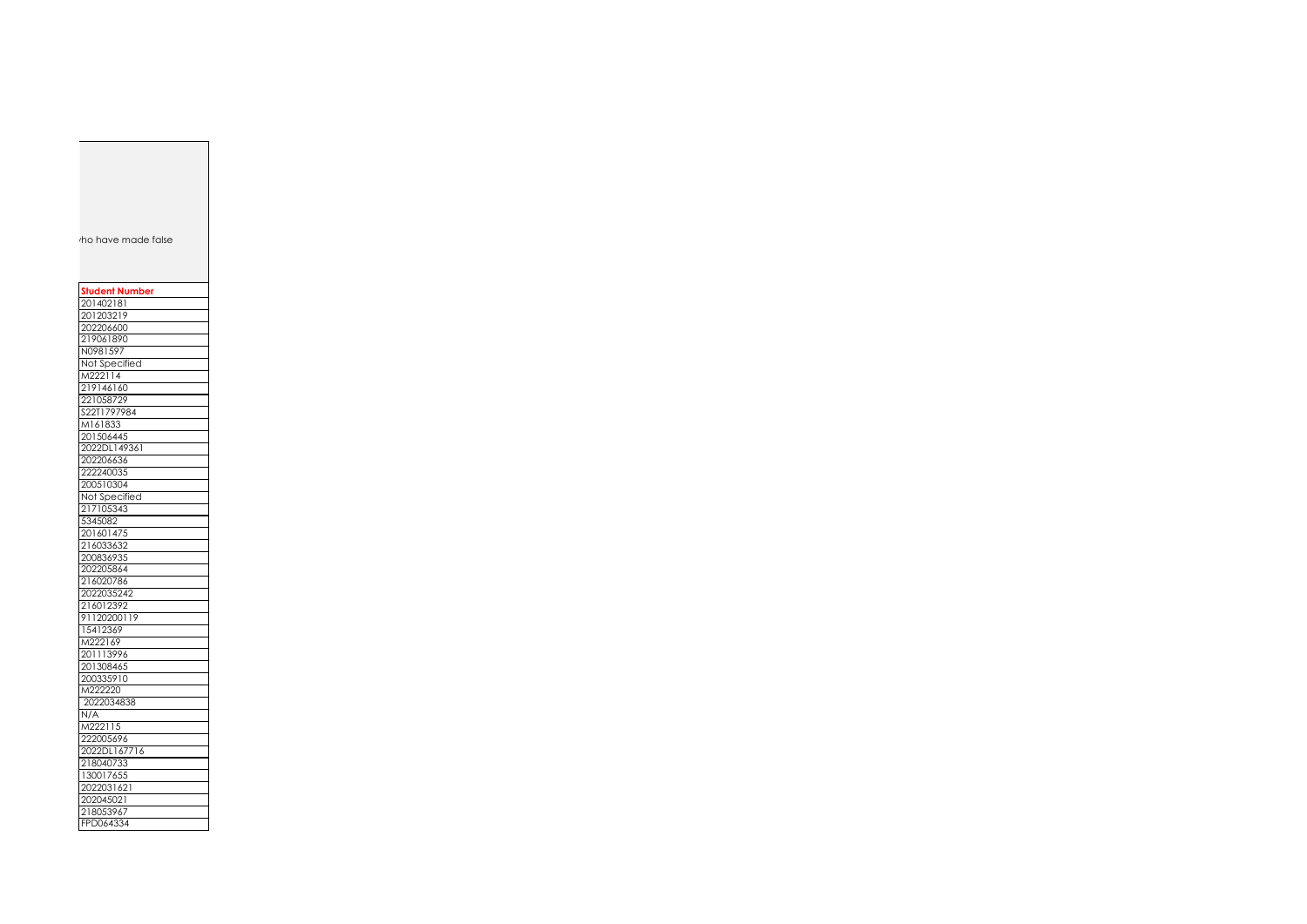ho have made false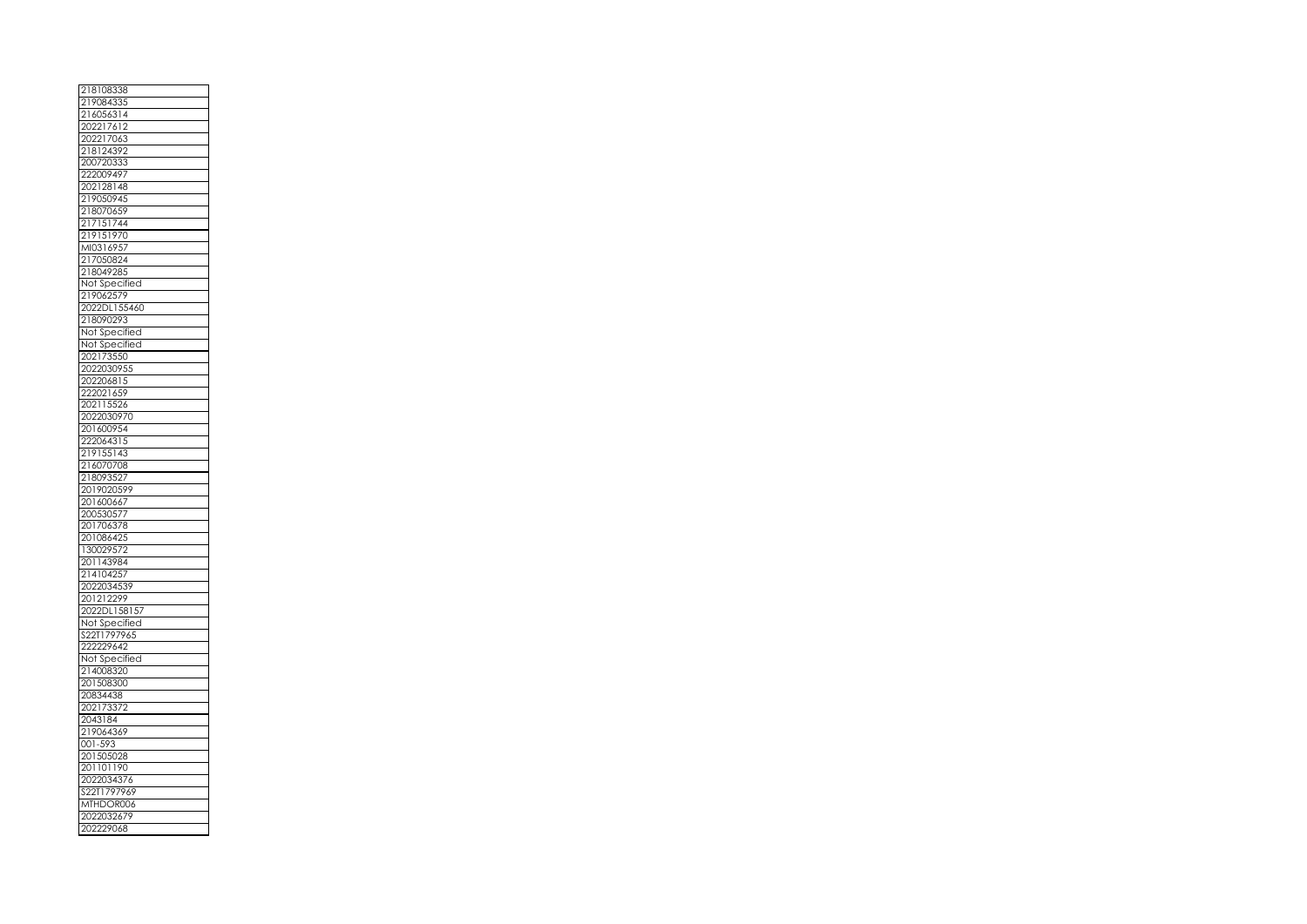| 2181083<br>38              |
|----------------------------|
| 219084335                  |
| 216056314<br>202217612     |
|                            |
| 202217063                  |
| I<br>218124392             |
| 200720333                  |
| 222009497                  |
| 202128148                  |
| 219050945                  |
| 218070659                  |
| 217151744                  |
| 219151970                  |
| MI0316957                  |
| 217050824                  |
| 218049285                  |
| Not Specified              |
| 219062579                  |
| 2022DL155460               |
|                            |
| 218090293                  |
| Not Specified              |
| Not Sp<br>œ<br>:ified<br>J |
| $rac{1}{3550}$<br>20217    |
| 2022030955                 |
| 202206815                  |
| 222021659                  |
| 202115526                  |
| 2022030970                 |
| 201600954                  |
| 222064315                  |
| 219155143                  |
| 216070708                  |
| 21809352                   |
| 2019020599                 |
| 201600667                  |
| 200530577                  |
| 201706378                  |
| 201086425                  |
| 130029572                  |
| 201143984                  |
| 214104257                  |
| 2022034539                 |
| 201212299                  |
| 2022DL158157               |
| Not Specified              |
| S22T1797965                |
|                            |
|                            |
| 222229642                  |
| Not Specified              |
| 214008320                  |
| 201508300                  |
| 20834438                   |
| 202173372                  |
| 2043184                    |
| 219064369                  |
| 001-593                    |
| 201505028                  |
| 201101<br>190              |
| 2022034376                 |
| S22T1797969                |
| MTHDOR006                  |
| 2022032679<br>202229068    |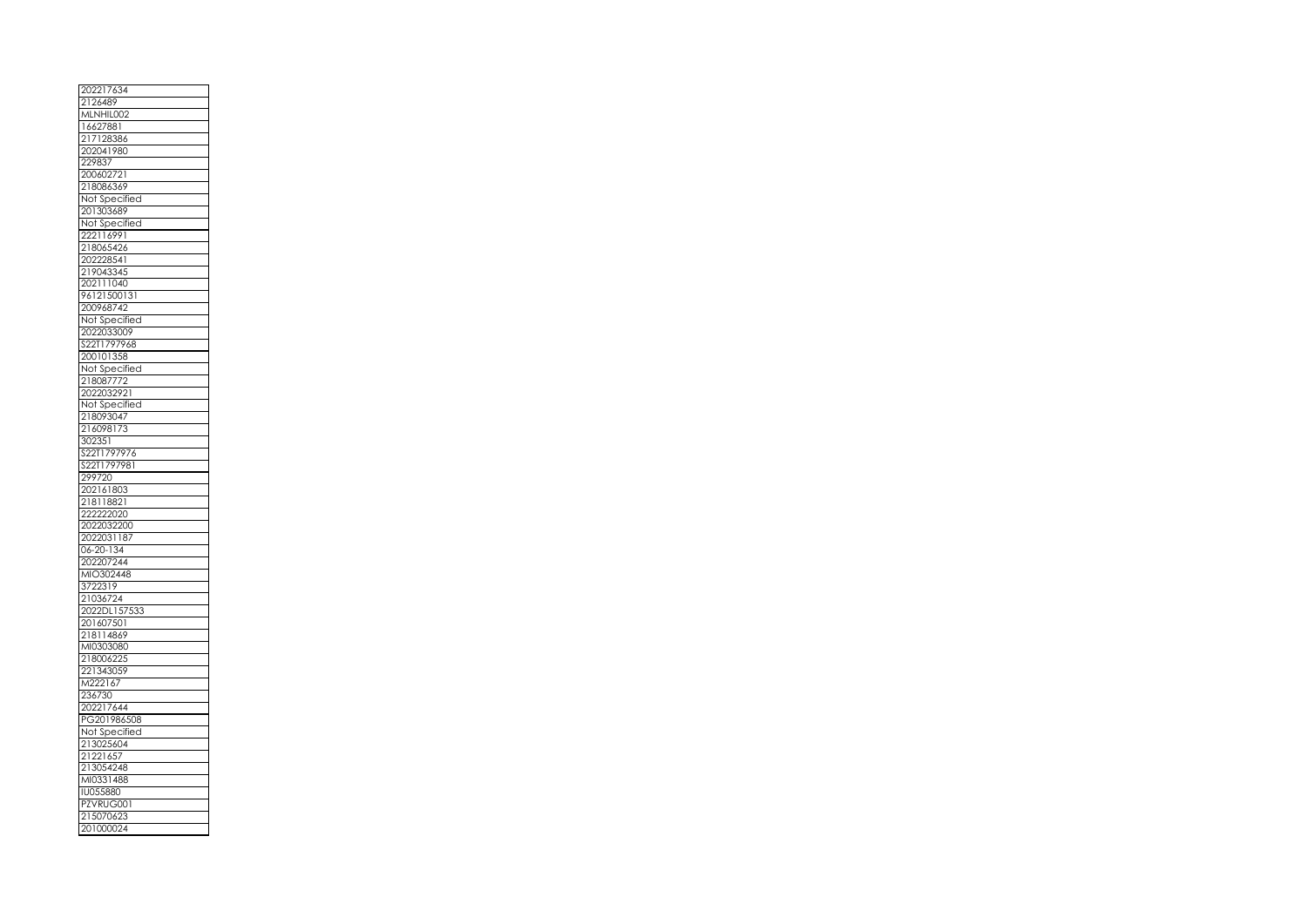| 2126489                  |
|--------------------------|
|                          |
| MLNHIL<br>002            |
| 16627881                 |
| 217128386                |
| 202041980                |
| 229837                   |
| 200602721                |
| 218086369                |
|                          |
| Not Specified            |
| 201303689                |
| Not Specified            |
| 222116991                |
| 218065426                |
| 202228541                |
| 219043345                |
| 202111040                |
| 96121500131              |
| 200968742                |
| Not Specified            |
| 2022033009               |
| S22T1797968              |
| 200101358                |
| Not Specified            |
| 218087772                |
|                          |
| 2022032921               |
| Not Specified            |
| 218093047                |
| 216098173                |
| 302351                   |
| S22T1797976              |
| S<br>22T1797981          |
| 299720                   |
| 202161803                |
| 218118821                |
| 222222020                |
| 2022032200               |
|                          |
|                          |
| 2022031187               |
| 134<br>06<br>$20 -$      |
| 2022072<br>$^{244}$      |
| MIO302448                |
| 3722319                  |
| 21036724                 |
| 2022DL157533             |
| 201607501                |
| 218114869                |
| MI0303080                |
| 218006225                |
| ľ                        |
| 221343059<br>M222167     |
| 236730<br>í              |
|                          |
| 202217644<br>PG201986508 |
|                          |
| Not Specified            |
| 213025604                |
| 21221657                 |
| 213054248                |
| MI0331488                |
| <b>IU055880</b>          |
| PZVRUG001                |
| 21507062                 |
| 201000024                |